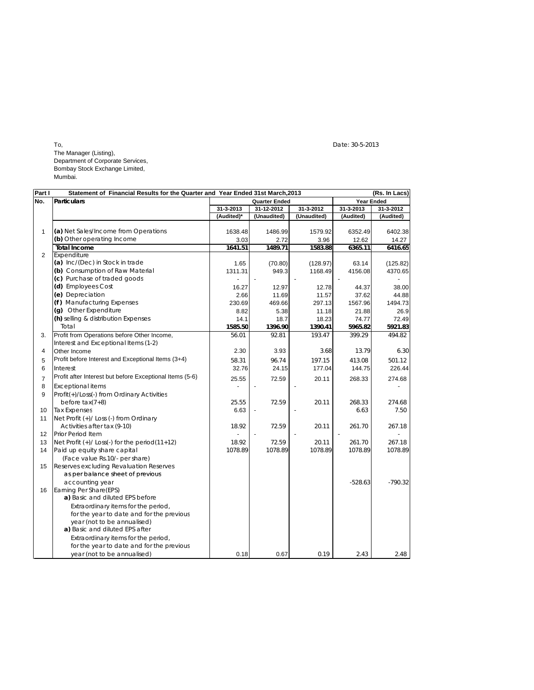$\Gamma$ o, Date: 30-5-2013 The Manager (Listing), Department of Corporate Services, Bombay Stock Exchange Limited, Mumbai.

| Part I         | Statement of Financial Results for the Quarter and Year Ended 31st March, 2013 |               |             |             |                   | (Rs. In Lacs) |
|----------------|--------------------------------------------------------------------------------|---------------|-------------|-------------|-------------------|---------------|
| No.            | <b>Particulars</b>                                                             | Quarter Ended |             |             | <b>Year Ended</b> |               |
|                |                                                                                | 31-3-2013     | 31-12-2012  | 31-3-2012   | 31-3-2013         | 31-3-2012     |
|                |                                                                                | (Audited)*    | (Unaudited) | (Unaudited) | (Audited)         | (Audited)     |
|                |                                                                                |               |             |             |                   |               |
| 1              | (a) Net Sales/Income from Operations                                           | 1638.48       | 1486.99     | 1579.92     | 6352.49           | 6402.38       |
|                | (b) Other operating Income                                                     | 3.03          | 2.72        | 3.96        | 12.62             | 14.27         |
|                | <b>Total Income</b>                                                            | 1641.51       | 1489.71     | 1583.88     | 6365.11           | 6416.65       |
| 2              | Expenditure                                                                    |               |             |             |                   |               |
|                | (a) Inc/(Dec) in Stock in trade                                                | 1.65          | (70.80)     | (128.97)    | 63.14             | (125.82)      |
|                | (b) Consumption of Raw Material                                                | 1311.31       | 949.3       | 1168.49     | 4156.08           | 4370.65       |
|                | (c) Purchase of traded goods                                                   |               |             |             |                   |               |
|                | (d) Employees Cost                                                             | 16.27         | 12.97       | 12.78       | 44.37             | 38.00         |
|                | (e) Depreciation                                                               | 2.66          | 11.69       | 11.57       | 37.62             | 44.88         |
|                | (f) Manufacturing Expenses                                                     | 230.69        | 469.66      | 297.13      | 1567.96           | 1494.73       |
|                | (g) Other Expenditure                                                          | 8.82          | 5.38        | 11.18       | 21.88             | 26.9          |
|                | (h) selling & distribution Expenses                                            | 14.1          | 18.7        | 18.23       | 74.77             | 72.49         |
|                | Total                                                                          | 1585.50       | 1396.90     | 1390.41     | 5965.82           | 5921.83       |
| 3.             | Profit from Operations before Other Income,                                    | 56.01         | 92.81       | 193.47      | 399.29            | 494.82        |
|                | Interest and Exceptional Items (1-2)                                           |               |             |             |                   |               |
| 4              | Other Income                                                                   | 2.30          | 3.93        | 3.68        | 13.79             | 6.30          |
| 5              | Profit before Interest and Exceptional Items (3+4)                             | 58.31         | 96.74       | 197.15      | 413.08            | 501.12        |
| 6              | Interest                                                                       | 32.76         | 24.15       | 177.04      | 144.75            | 226.44        |
| $\overline{7}$ | Profit after Interest but before Exceptional Items (5-6)                       | 25.55         | 72.59       | 20.11       | 268.33            | 274.68        |
| 8              | <b>Exceptional items</b>                                                       |               |             |             |                   |               |
| 9              | Profit(+)/Loss(-) from Ordinary Activities                                     |               |             |             |                   |               |
|                | before $tax(7+8)$                                                              | 25.55         | 72.59       | 20.11       | 268.33            | 274.68        |
| 10             | <b>Tax Expenses</b>                                                            | 6.63          |             |             | 6.63              | 7.50          |
| 11             | Net Profit (+)/ Loss (-) from Ordinary                                         |               |             |             |                   |               |
|                | Activities after tax (9-10)                                                    | 18.92         | 72.59       | 20.11       | 261.70            | 267.18        |
| 12             | Prior Period Item                                                              |               |             |             |                   |               |
| 13             | Net Profit $(+)/$ Loss $(-)$ for the period $(11+12)$                          | 18.92         | 72.59       | 20.11       | 261.70            | 267.18        |
| 14             | Paid up equity share capital                                                   | 1078.89       | 1078.89     | 1078.89     | 1078.89           | 1078.89       |
|                | (Face value Rs.10/- per share)                                                 |               |             |             |                   |               |
| 15             | Reserves excluding Revaluation Reserves                                        |               |             |             |                   |               |
|                | as per balance sheet of previous                                               |               |             |             |                   |               |
|                | accounting year                                                                |               |             |             | $-528.63$         | $-790.32$     |
| 16             | Earning Per Share(EPS)                                                         |               |             |             |                   |               |
|                | a) Basic and diluted EPS before                                                |               |             |             |                   |               |
|                | Extraordinary items for the period,                                            |               |             |             |                   |               |
|                | for the year to date and for the previous                                      |               |             |             |                   |               |
|                | year (not to be annualised)                                                    |               |             |             |                   |               |
|                | a) Basic and diluted EPS after                                                 |               |             |             |                   |               |
|                | Extraordinary items for the period,                                            |               |             |             |                   |               |
|                | for the year to date and for the previous                                      |               |             |             |                   |               |
|                | year (not to be annualised)                                                    | 0.18          | 0.67        | 0.19        | 2.43              | 2.48          |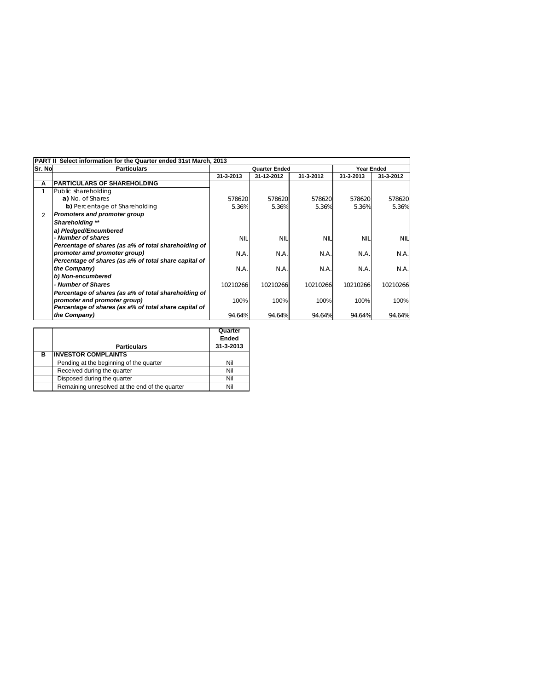|                | PART II Select information for the Quarter ended 31st March, 2013 |                      |            |            |            |            |  |
|----------------|-------------------------------------------------------------------|----------------------|------------|------------|------------|------------|--|
| <b>Sr. Nol</b> | <b>Particulars</b>                                                | <b>Quarter Ended</b> |            |            | Year Ended |            |  |
|                |                                                                   | 31-3-2013            | 31-12-2012 | 31-3-2012  | 31-3-2013  | 31-3-2012  |  |
| Α              | <b>IPARTICULARS OF SHAREHOLDING</b>                               |                      |            |            |            |            |  |
|                | Public shareholding                                               |                      |            |            |            |            |  |
|                | a) No. of Shares                                                  | 578620               | 578620     | 578620     | 578620     | 578620     |  |
|                | b) Percentage of Shareholding                                     | 5.36%                | 5.36%      | 5.36%      | 5.36%      | 5.36%      |  |
| 2              | <b>Promoters and promoter group</b>                               |                      |            |            |            |            |  |
|                | Shareholding **                                                   |                      |            |            |            |            |  |
|                | a) Pledged/Encumbered                                             |                      |            |            |            |            |  |
|                | - Number of shares                                                | <b>NIL</b>           | <b>NII</b> | <b>NIL</b> | <b>NIL</b> | <b>NIL</b> |  |
|                | Percentage of shares (as a% of total shareholding of              |                      |            |            |            |            |  |
|                | promoter amd promoter group)                                      | N.A.                 | N.A.       | N.A.       | N.A.       | N.A.       |  |
|                | Percentage of shares (as a% of total share capital of             |                      |            |            |            |            |  |
|                | the Company)                                                      | N.A.                 | N.A.       | N.A.       | N.A.       | N.A.       |  |
|                | b) Non-encumbered                                                 |                      |            |            |            |            |  |
|                | - Number of Shares                                                | 10210266             | 10210266   | 10210266   | 10210266   | 10210266   |  |
|                | Percentage of shares (as a% of total shareholding of              |                      |            |            |            |            |  |
|                | promoter and promoter group)                                      | 100%                 | 100%       | 100%       | 100%       | 100%       |  |
|                | Percentage of shares (as a% of total share capital of             |                      |            |            |            |            |  |
|                | the Company)                                                      | 94.64%               | 94.64%     | 94.64%     | 94.64%     | 94.64%     |  |

|   | <b>Particulars</b>                             | Quarter<br>Ended<br>31-3-2013 |
|---|------------------------------------------------|-------------------------------|
| в | <b>INVESTOR COMPLAINTS</b>                     |                               |
|   | Pending at the beginning of the quarter        | Nil                           |
|   | Received during the quarter                    | Nil                           |
|   | Disposed during the quarter                    | Nil                           |
|   | Remaining unresolved at the end of the quarter | Nil                           |